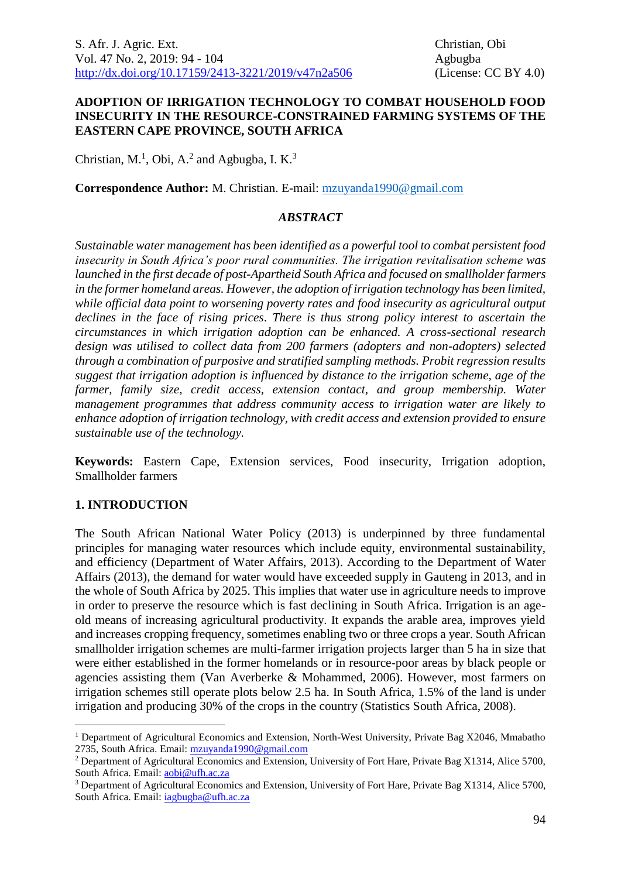#### **ADOPTION OF IRRIGATION TECHNOLOGY TO COMBAT HOUSEHOLD FOOD INSECURITY IN THE RESOURCE-CONSTRAINED FARMING SYSTEMS OF THE EASTERN CAPE PROVINCE, SOUTH AFRICA**

Christian, M.<sup>1</sup>, Obi, A.<sup>2</sup> and Agbugba, I. K.<sup>3</sup>

**Correspondence Author:** M. Christian. E-mail: mzuyanda1990@gmail.com

#### *ABSTRACT*

*Sustainable water management has been identified as a powerful tool to combat persistent food insecurity in South Africa's poor rural communities. The irrigation revitalisation scheme was launched in the first decade of post-Apartheid South Africa and focused on smallholder farmers in the former homeland areas. However, the adoption of irrigation technology has been limited, while official data point to worsening poverty rates and food insecurity as agricultural output declines in the face of rising prices*. *There is thus strong policy interest to ascertain the circumstances in which irrigation adoption can be enhanced. A cross-sectional research design was utilised to collect data from 200 farmers (adopters and non-adopters) selected through a combination of purposive and stratified sampling methods. Probit regression results suggest that irrigation adoption is influenced by distance to the irrigation scheme, age of the farmer, family size, credit access, extension contact, and group membership. Water management programmes that address community access to irrigation water are likely to enhance adoption of irrigation technology, with credit access and extension provided to ensure sustainable use of the technology.*

**Keywords:** Eastern Cape, Extension services, Food insecurity, Irrigation adoption, Smallholder farmers

#### **1. INTRODUCTION**

1

The South African National Water Policy (2013) is underpinned by three fundamental principles for managing water resources which include equity, environmental sustainability, and efficiency (Department of Water Affairs, 2013). According to the Department of Water Affairs (2013), the demand for water would have exceeded supply in Gauteng in 2013, and in the whole of South Africa by 2025. This implies that water use in agriculture needs to improve in order to preserve the resource which is fast declining in South Africa. Irrigation is an ageold means of increasing agricultural productivity. It expands the arable area, improves yield and increases cropping frequency, sometimes enabling two or three crops a year. South African smallholder irrigation schemes are multi-farmer irrigation projects larger than 5 ha in size that were either established in the former homelands or in resource-poor areas by black people or agencies assisting them (Van Averberke & Mohammed, 2006). However, most farmers on irrigation schemes still operate plots below 2.5 ha. In South Africa, 1.5% of the land is under irrigation and producing 30% of the crops in the country (Statistics South Africa, 2008).

<sup>1</sup> Department of Agricultural Economics and Extension, North-West University, Private Bag X2046, Mmabatho 2735, South Africa. Email: [mzuyanda1990@gmail.com](mailto:mzuyanda1990@gmail.com)

<sup>&</sup>lt;sup>2</sup> Department of Agricultural Economics and Extension, University of Fort Hare, Private Bag X1314, Alice 5700, South Africa. Email: [aobi@ufh.ac.za](mailto:aobi@ufh.ac.za)

<sup>3</sup> Department of Agricultural Economics and Extension, University of Fort Hare, Private Bag X1314, Alice 5700, South Africa. Email: *iagbugba@ufh.ac.za*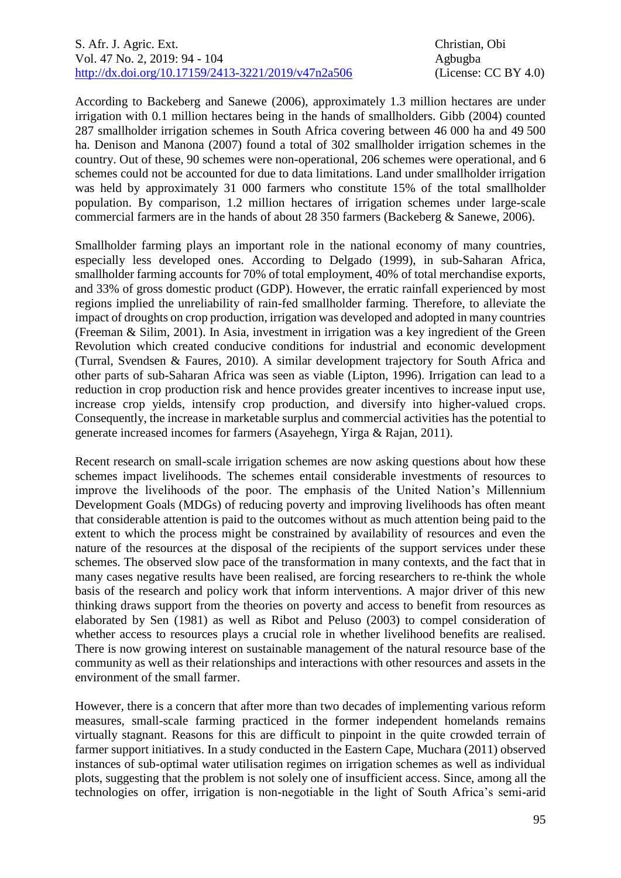According to Backeberg and Sanewe (2006), approximately 1.3 million hectares are under irrigation with 0.1 million hectares being in the hands of smallholders. Gibb (2004) counted 287 smallholder irrigation schemes in South Africa covering between 46 000 ha and 49 500 ha. Denison and Manona (2007) found a total of 302 smallholder irrigation schemes in the country. Out of these, 90 schemes were non-operational, 206 schemes were operational, and 6 schemes could not be accounted for due to data limitations. Land under smallholder irrigation was held by approximately 31 000 farmers who constitute 15% of the total smallholder population. By comparison, 1.2 million hectares of irrigation schemes under large-scale commercial farmers are in the hands of about 28 350 farmers (Backeberg & Sanewe, 2006).

Smallholder farming plays an important role in the national economy of many countries, especially less developed ones. According to Delgado (1999), in sub-Saharan Africa, smallholder farming accounts for 70% of total employment, 40% of total merchandise exports, and 33% of gross domestic product (GDP). However, the erratic rainfall experienced by most regions implied the unreliability of rain-fed smallholder farming. Therefore, to alleviate the impact of droughts on crop production, irrigation was developed and adopted in many countries (Freeman & Silim, 2001). In Asia, investment in irrigation was a key ingredient of the Green Revolution which created conducive conditions for industrial and economic development (Turral, Svendsen & Faures, 2010). A similar development trajectory for South Africa and other parts of sub-Saharan Africa was seen as viable (Lipton, 1996). Irrigation can lead to a reduction in crop production risk and hence provides greater incentives to increase input use, increase crop yields, intensify crop production, and diversify into higher-valued crops. Consequently, the increase in marketable surplus and commercial activities has the potential to generate increased incomes for farmers (Asayehegn, Yirga & Rajan, 2011).

Recent research on small-scale irrigation schemes are now asking questions about how these schemes impact livelihoods. The schemes entail considerable investments of resources to improve the livelihoods of the poor. The emphasis of the United Nation's Millennium Development Goals (MDGs) of reducing poverty and improving livelihoods has often meant that considerable attention is paid to the outcomes without as much attention being paid to the extent to which the process might be constrained by availability of resources and even the nature of the resources at the disposal of the recipients of the support services under these schemes. The observed slow pace of the transformation in many contexts, and the fact that in many cases negative results have been realised, are forcing researchers to re-think the whole basis of the research and policy work that inform interventions. A major driver of this new thinking draws support from the theories on poverty and access to benefit from resources as elaborated by Sen (1981) as well as Ribot and Peluso (2003) to compel consideration of whether access to resources plays a crucial role in whether livelihood benefits are realised. There is now growing interest on sustainable management of the natural resource base of the community as well as their relationships and interactions with other resources and assets in the environment of the small farmer.

However, there is a concern that after more than two decades of implementing various reform measures, small-scale farming practiced in the former independent homelands remains virtually stagnant. Reasons for this are difficult to pinpoint in the quite crowded terrain of farmer support initiatives. In a study conducted in the Eastern Cape, Muchara (2011) observed instances of sub-optimal water utilisation regimes on irrigation schemes as well as individual plots, suggesting that the problem is not solely one of insufficient access. Since, among all the technologies on offer, irrigation is non-negotiable in the light of South Africa's semi-arid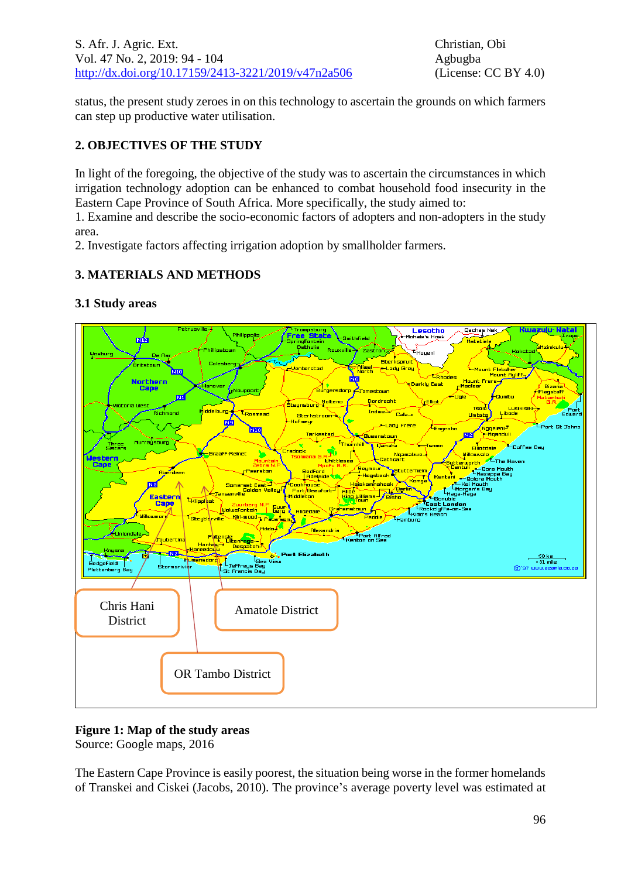status, the present study zeroes in on this technology to ascertain the grounds on which farmers can step up productive water utilisation.

# **2. OBJECTIVES OF THE STUDY**

In light of the foregoing, the objective of the study was to ascertain the circumstances in which irrigation technology adoption can be enhanced to combat household food insecurity in the Eastern Cape Province of South Africa. More specifically, the study aimed to:

1. Examine and describe the socio-economic factors of adopters and non-adopters in the study area.

2. Investigate factors affecting irrigation adoption by smallholder farmers.

# **3. MATERIALS AND METHODS**



# **3.1 Study areas**

# **Figure 1: Map of the study areas**

Source: Google maps, 2016

The Eastern Cape Province is easily poorest, the situation being worse in the former homelands of Transkei and Ciskei (Jacobs, 2010). The province's average poverty level was estimated at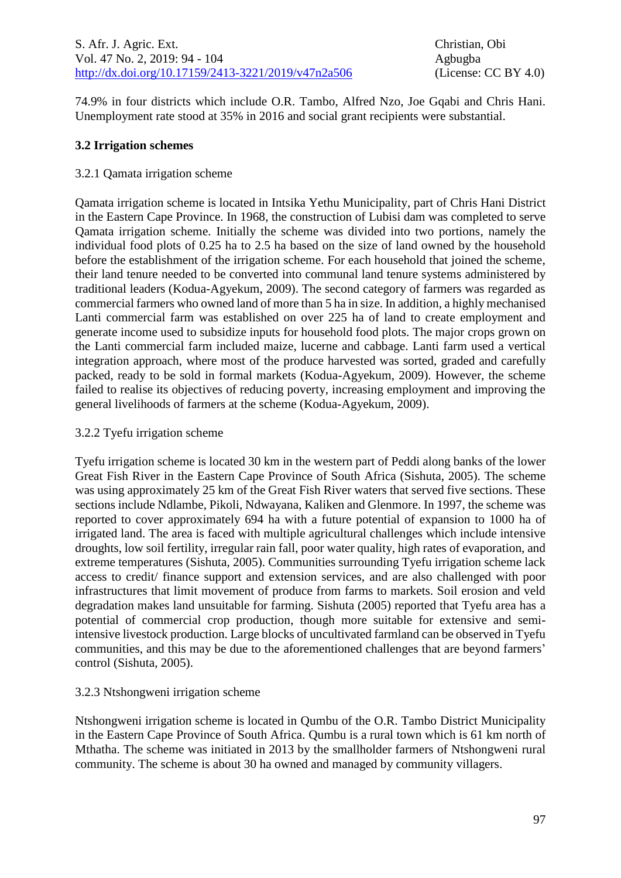74.9% in four districts which include O.R. Tambo, Alfred Nzo, Joe Gqabi and Chris Hani. Unemployment rate stood at 35% in 2016 and social grant recipients were substantial.

# **3.2 Irrigation schemes**

# 3.2.1 Qamata irrigation scheme

Qamata irrigation scheme is located in Intsika Yethu Municipality, part of Chris Hani District in the Eastern Cape Province. In 1968, the construction of Lubisi dam was completed to serve Qamata irrigation scheme. Initially the scheme was divided into two portions, namely the individual food plots of 0.25 ha to 2.5 ha based on the size of land owned by the household before the establishment of the irrigation scheme. For each household that joined the scheme, their land tenure needed to be converted into communal land tenure systems administered by traditional leaders (Kodua-Agyekum, 2009). The second category of farmers was regarded as commercial farmers who owned land of more than 5 ha in size. In addition, a highly mechanised Lanti commercial farm was established on over 225 ha of land to create employment and generate income used to subsidize inputs for household food plots. The major crops grown on the Lanti commercial farm included maize, lucerne and cabbage. Lanti farm used a vertical integration approach, where most of the produce harvested was sorted, graded and carefully packed, ready to be sold in formal markets (Kodua-Agyekum, 2009). However, the scheme failed to realise its objectives of reducing poverty, increasing employment and improving the general livelihoods of farmers at the scheme (Kodua-Agyekum, 2009).

# 3.2.2 Tyefu irrigation scheme

Tyefu irrigation scheme is located 30 km in the western part of Peddi along banks of the lower Great Fish River in the Eastern Cape Province of South Africa (Sishuta, 2005). The scheme was using approximately 25 km of the Great Fish River waters that served five sections. These sections include Ndlambe, Pikoli, Ndwayana, Kaliken and Glenmore. In 1997, the scheme was reported to cover approximately 694 ha with a future potential of expansion to 1000 ha of irrigated land. The area is faced with multiple agricultural challenges which include intensive droughts, low soil fertility, irregular rain fall, poor water quality, high rates of evaporation, and extreme temperatures (Sishuta, 2005). Communities surrounding Tyefu irrigation scheme lack access to credit/ finance support and extension services, and are also challenged with poor infrastructures that limit movement of produce from farms to markets. Soil erosion and veld degradation makes land unsuitable for farming. Sishuta (2005) reported that Tyefu area has a potential of commercial crop production, though more suitable for extensive and semiintensive livestock production. Large blocks of uncultivated farmland can be observed in Tyefu communities, and this may be due to the aforementioned challenges that are beyond farmers' control (Sishuta, 2005).

# 3.2.3 Ntshongweni irrigation scheme

Ntshongweni irrigation scheme is located in Qumbu of the O.R. [Tambo District Municipality](https://en.wikipedia.org/wiki/O.R.Tambo_District_Municipality) in the [Eastern Cape](https://en.wikipedia.org/wiki/Eastern_Cape) Province of [South Africa.](https://en.wikipedia.org/wiki/South_Africa) Qumbu is a rural town which is 61 km north of [Mthatha.](https://en.wikipedia.org/wiki/Mthatha) The scheme was initiated in 2013 by the smallholder farmers of Ntshongweni rural community. The scheme is about 30 ha owned and managed by community villagers.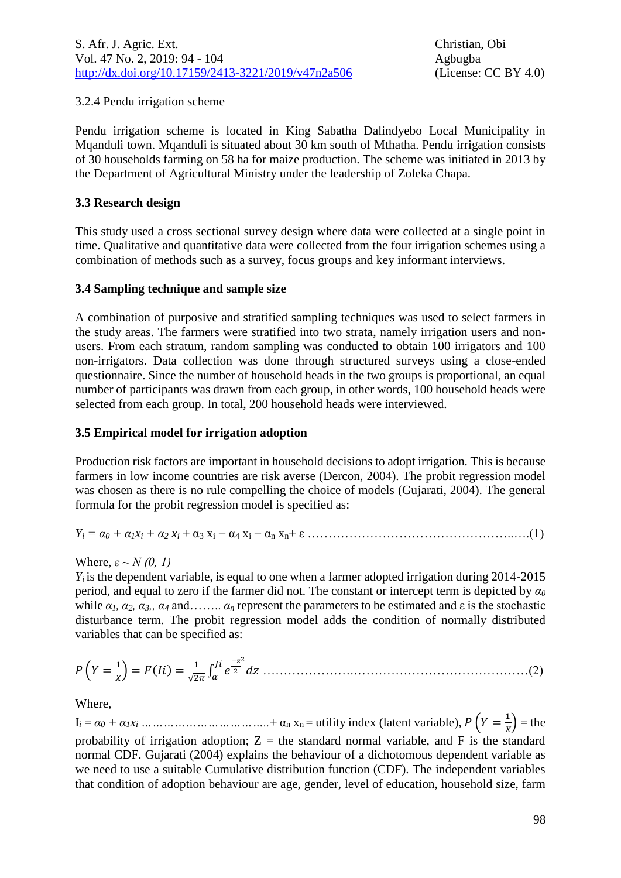### 3.2.4 Pendu irrigation scheme

Pendu irrigation scheme is located in King Sabatha Dalindyebo Local Municipality in Mqanduli town. Mqanduli is situated about 30 km south of [Mthatha.](https://en.wikipedia.org/wiki/Mthatha) Pendu irrigation consists of 30 households farming on 58 ha for maize production. The scheme was initiated in 2013 by the Department of Agricultural Ministry under the leadership of Zoleka Chapa.

#### **3.3 Research design**

This study used a cross sectional survey design where data were collected at a single point in time. Qualitative and quantitative data were collected from the four irrigation schemes using a combination of methods such as a survey, focus groups and key informant interviews.

#### **3.4 Sampling technique and sample size**

A combination of purposive and stratified sampling techniques was used to select farmers in the study areas. The farmers were stratified into two strata, namely irrigation users and nonusers. From each stratum, random sampling was conducted to obtain 100 irrigators and 100 non-irrigators. Data collection was done through structured surveys using a close-ended questionnaire. Since the number of household heads in the two groups is proportional, an equal number of participants was drawn from each group, in other words, 100 household heads were selected from each group. In total, 200 household heads were interviewed.

#### **3.5 Empirical model for irrigation adoption**

Production risk factors are important in household decisions to adopt irrigation. This is because farmers in low income countries are risk averse (Dercon, 2004). The probit regression model was chosen as there is no rule compelling the choice of models (Gujarati, 2004). The general formula for the probit regression model is specified as:

*Y<sup>i</sup> = α<sup>0</sup> + α1x<sup>i</sup> + α<sup>2</sup> x<sup>i</sup>* + α<sup>3</sup> x<sup>i</sup> + α<sup>4</sup> x<sup>i</sup> + α<sup>n</sup> xn+ ε …………………………………………..….(1)

Where,  $\varepsilon \sim N(0, 1)$ 

 $Y_i$  is the dependent variable, is equal to one when a farmer adopted irrigation during 2014-2015 period, and equal to zero if the farmer did not. The constant or intercept term is depicted by *α<sup>0</sup>* while  $\alpha_1$ ,  $\alpha_2$ ,  $\alpha_3$ ,,  $\alpha_4$  and……..  $\alpha_n$  represent the parameters to be estimated and  $\varepsilon$  is the stochastic disturbance term. The probit regression model adds the condition of normally distributed variables that can be specified as:

 ( = 1 ) = () = 1 √2 ∫ − 2 2 ………………….……………………………………(2)

Where,

 $I_i = \alpha_0 + \alpha_1 x_i \dots \dots \dots \dots \dots \dots \dots \dots \dots \dots + \alpha_n x_n =$  utility index (latent variable),  $P(Y = \frac{1}{n})$  $\frac{1}{x}$ ) = the probability of irrigation adoption;  $Z =$  the standard normal variable, and F is the standard normal CDF. Gujarati (2004) explains the behaviour of a dichotomous dependent variable as we need to use a suitable Cumulative distribution function (CDF). The independent variables that condition of adoption behaviour are age, gender, level of education, household size, farm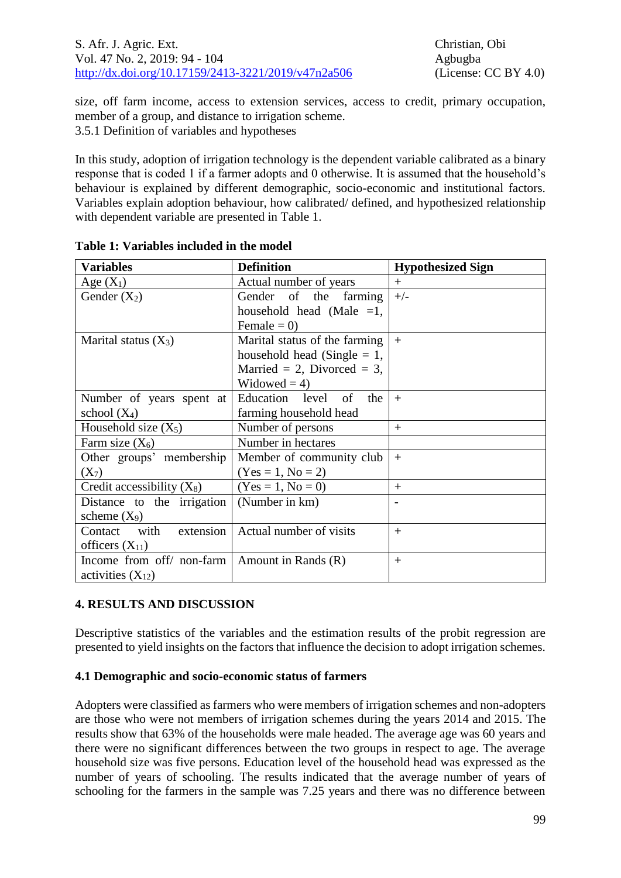size, off farm income, access to extension services, access to credit, primary occupation, member of a group, and distance to irrigation scheme. 3.5.1 Definition of variables and hypotheses

In this study, adoption of irrigation technology is the dependent variable calibrated as a binary response that is coded 1 if a farmer adopts and 0 otherwise. It is assumed that the household's behaviour is explained by different demographic, socio-economic and institutional factors. Variables explain adoption behaviour, how calibrated/ defined, and hypothesized relationship with dependent variable are presented in Table 1.

| <b>Definition</b><br>Variables                       |                                | <b>Hypothesized Sign</b> |  |
|------------------------------------------------------|--------------------------------|--------------------------|--|
| Age $(X_1)$                                          | Actual number of years         | $+$                      |  |
| Gender $(X_2)$                                       | Gender of the farming          | $+/-$                    |  |
|                                                      | household head (Male $=1$ ,    |                          |  |
|                                                      | Female = $0$ )                 |                          |  |
| Marital status $(X_3)$                               | Marital status of the farming  | $+$                      |  |
|                                                      | household head (Single $= 1$ , |                          |  |
|                                                      | Married = 2, Divorced = 3,     |                          |  |
|                                                      | Widowed = $4$ )                |                          |  |
| Number of years spent at                             | Education level of<br>the      | $+$                      |  |
| school $(X_4)$                                       | farming household head         |                          |  |
| Household size $(X_5)$                               | Number of persons              | $+$                      |  |
| Farm size $(X_6)$                                    | Number in hectares             |                          |  |
| Other groups' membership<br>Member of community club |                                | $+$                      |  |
| $(X_7)$                                              | $(Yes = 1, No = 2)$            |                          |  |
| Credit accessibility $(X_8)$                         | $(Yes = 1, No = 0)$            | $^{+}$                   |  |
| Distance to the irrigation                           | (Number in km)                 |                          |  |
| scheme $(X_9)$                                       |                                |                          |  |
| extension<br>Contact with                            | Actual number of visits        | $^{+}$                   |  |
| officers $(X_{11})$                                  |                                |                          |  |
| Income from off/ non-farm   Amount in Rands $(R)$    |                                | $^{+}$                   |  |
| activities $(X_{12})$                                |                                |                          |  |

**Table 1: Variables included in the model**

# **4. RESULTS AND DISCUSSION**

Descriptive statistics of the variables and the estimation results of the probit regression are presented to yield insights on the factors that influence the decision to adopt irrigation schemes.

# **4.1 Demographic and socio-economic status of farmers**

Adopters were classified as farmers who were members of irrigation schemes and non-adopters are those who were not members of irrigation schemes during the years 2014 and 2015. The results show that 63% of the households were male headed. The average age was 60 years and there were no significant differences between the two groups in respect to age. The average household size was five persons. Education level of the household head was expressed as the number of years of schooling. The results indicated that the average number of years of schooling for the farmers in the sample was 7.25 years and there was no difference between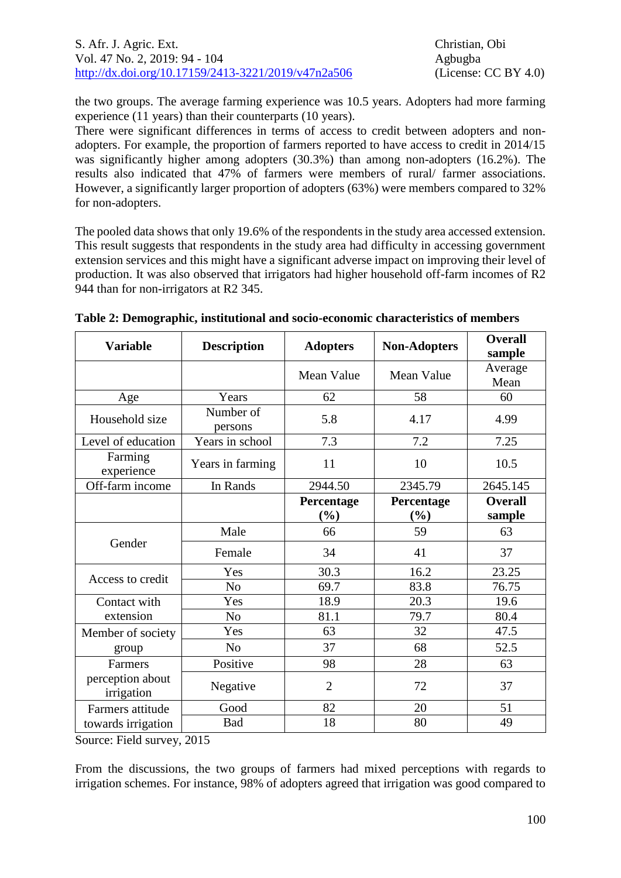the two groups. The average farming experience was 10.5 years. Adopters had more farming experience (11 years) than their counterparts (10 years).

There were significant differences in terms of access to credit between adopters and nonadopters. For example, the proportion of farmers reported to have access to credit in 2014/15 was significantly higher among adopters (30.3%) than among non-adopters (16.2%). The results also indicated that 47% of farmers were members of rural/ farmer associations. However, a significantly larger proportion of adopters (63%) were members compared to 32% for non-adopters.

The pooled data shows that only 19.6% of the respondents in the study area accessed extension. This result suggests that respondents in the study area had difficulty in accessing government extension services and this might have a significant adverse impact on improving their level of production. It was also observed that irrigators had higher household off-farm incomes of R2 944 than for non-irrigators at R2 345.

| <b>Variable</b>                                                  | <b>Description</b>   | <b>Adopters</b>      | <b>Non-Adopters</b>  | <b>Overall</b><br>sample |
|------------------------------------------------------------------|----------------------|----------------------|----------------------|--------------------------|
|                                                                  |                      | Mean Value           | Mean Value           | Average<br>Mean          |
| Age                                                              | Years                | 62                   | 58                   | 60                       |
| Household size                                                   | Number of<br>persons | 5.8                  | 4.17                 | 4.99                     |
| Level of education                                               | Years in school      | 7.3                  | 7.2                  | 7.25                     |
| Farming<br>experience                                            | Years in farming     | 11                   | 10                   | 10.5                     |
| Off-farm income                                                  | In Rands             | 2944.50              | 2345.79              | 2645.145                 |
|                                                                  |                      | Percentage<br>$(\%)$ | Percentage<br>$(\%)$ | <b>Overall</b><br>sample |
| Gender                                                           | Male                 | 66                   | 59                   | 63                       |
|                                                                  | Female               | 34                   | 41                   | 37                       |
| Access to credit                                                 | Yes                  | 30.3                 | 16.2                 | 23.25                    |
|                                                                  | N <sub>o</sub>       | 69.7                 | 83.8                 | 76.75                    |
| Contact with                                                     | Yes                  | 18.9                 | 20.3                 | 19.6                     |
| extension                                                        | N <sub>o</sub>       | 81.1                 | 79.7                 | 80.4                     |
| Member of society                                                | Yes                  | 63                   | 32                   | 47.5                     |
| group                                                            | N <sub>o</sub>       | 37                   | 68                   | 52.5                     |
| <b>Farmers</b><br>perception about<br>irrigation                 | Positive             | 98                   | 28                   | 63                       |
|                                                                  | Negative             | $\overline{2}$       | 72                   | 37                       |
| Farmers attitude                                                 | Good                 | 82                   | 20                   | 51                       |
| towards irrigation<br>$\mathbf{r}$ , $\mathbf{r}$ , $\mathbf{r}$ | Bad<br>2017          | 18                   | 80                   | 49                       |

**Table 2: Demographic, institutional and socio-economic characteristics of members**

Source: Field survey, 2015

From the discussions, the two groups of farmers had mixed perceptions with regards to irrigation schemes. For instance, 98% of adopters agreed that irrigation was good compared to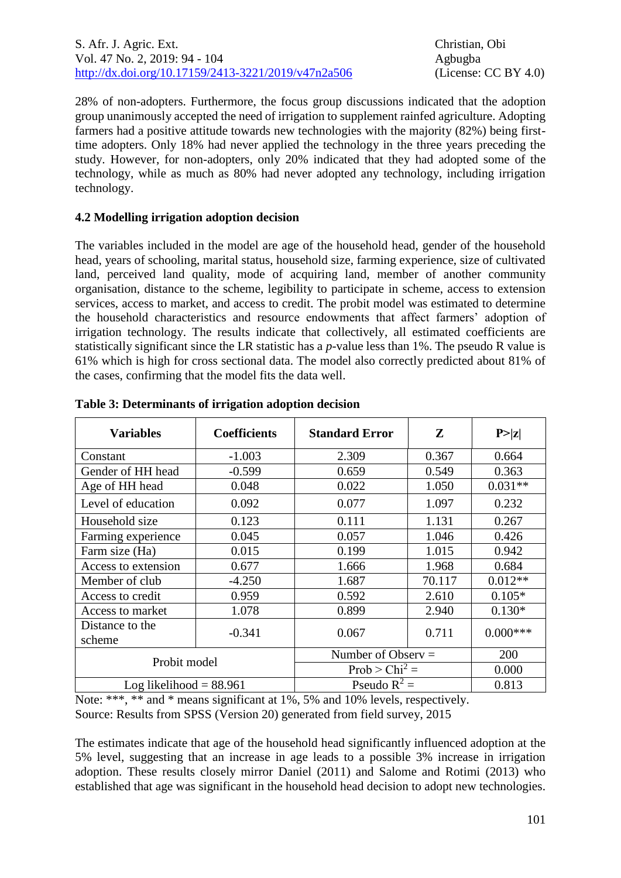28% of non-adopters. Furthermore, the focus group discussions indicated that the adoption group unanimously accepted the need of irrigation to supplement rainfed agriculture. Adopting farmers had a positive attitude towards new technologies with the majority (82%) being firsttime adopters. Only 18% had never applied the technology in the three years preceding the study. However, for non-adopters, only 20% indicated that they had adopted some of the technology, while as much as 80% had never adopted any technology, including irrigation technology.

# **4.2 Modelling irrigation adoption decision**

The variables included in the model are age of the household head, gender of the household head, years of schooling, marital status, household size, farming experience, size of cultivated land, perceived land quality, mode of acquiring land, member of another community organisation, distance to the scheme, legibility to participate in scheme, access to extension services, access to market, and access to credit. The probit model was estimated to determine the household characteristics and resource endowments that affect farmers' adoption of irrigation technology. The results indicate that collectively, all estimated coefficients are statistically significant since the LR statistic has a *p*-value less than 1%. The pseudo R value is 61% which is high for cross sectional data. The model also correctly predicted about 81% of the cases, confirming that the model fits the data well.

| <b>Variables</b>          | <b>Coefficients</b> | <b>Standard Error</b> | ${\bf z}$ | P >  z     |
|---------------------------|---------------------|-----------------------|-----------|------------|
| Constant                  | $-1.003$            | 2.309                 | 0.367     | 0.664      |
| Gender of HH head         | $-0.599$            | 0.659                 | 0.549     | 0.363      |
| Age of HH head            | 0.048               | 0.022                 | 1.050     | $0.031**$  |
| Level of education        | 0.092               | 0.077                 | 1.097     | 0.232      |
| Household size            | 0.123               | 0.111                 | 1.131     | 0.267      |
| Farming experience        | 0.045               | 0.057                 | 1.046     | 0.426      |
| Farm size (Ha)            | 0.015               | 0.199                 | 1.015     | 0.942      |
| Access to extension       | 0.677               | 1.666                 | 1.968     | 0.684      |
| Member of club            | $-4.250$            | 1.687                 | 70.117    | $0.012**$  |
| Access to credit          | 0.959               | 0.592                 | 2.610     | $0.105*$   |
| Access to market          | 1.078               | 0.899                 | 2.940     | $0.130*$   |
| Distance to the<br>scheme | $-0.341$            | 0.067                 | 0.711     | $0.000***$ |
| Probit model              |                     | Number of Observ $=$  |           | 200        |
|                           |                     | $Prob > Chi^2 =$      |           | 0.000      |
| Log likelihood $= 88.961$ |                     | Pseudo $R^2$ =        |           | 0.813      |

| Table 3: Determinants of irrigation adoption decision |  |  |
|-------------------------------------------------------|--|--|
|                                                       |  |  |
|                                                       |  |  |

Note: \*\*\*, \*\* and \* means significant at 1%, 5% and 10% levels, respectively. Source: Results from SPSS (Version 20) generated from field survey, 2015

The estimates indicate that age of the household head significantly influenced adoption at the 5% level, suggesting that an increase in age leads to a possible 3% increase in irrigation adoption. These results closely mirror Daniel (2011) and Salome and Rotimi (2013) who established that age was significant in the household head decision to adopt new technologies.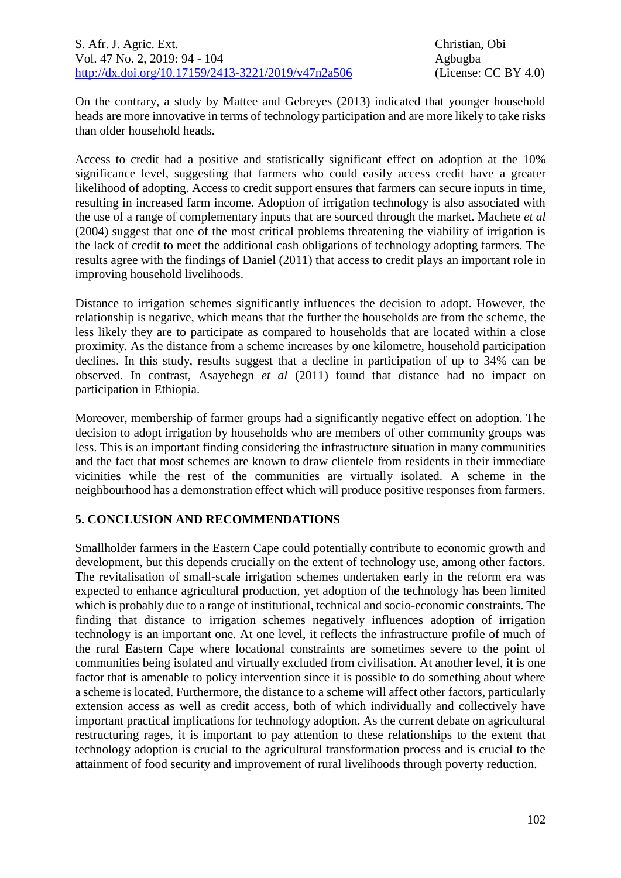On the contrary, a study by Mattee and Gebreyes (2013) indicated that younger household heads are more innovative in terms of technology participation and are more likely to take risks than older household heads.

Access to credit had a positive and statistically significant effect on adoption at the 10% significance level, suggesting that farmers who could easily access credit have a greater likelihood of adopting. Access to credit support ensures that farmers can secure inputs in time, resulting in increased farm income. Adoption of irrigation technology is also associated with the use of a range of complementary inputs that are sourced through the market. Machete *et al* (2004) suggest that one of the most critical problems threatening the viability of irrigation is the lack of credit to meet the additional cash obligations of technology adopting farmers. The results agree with the findings of Daniel (2011) that access to credit plays an important role in improving household livelihoods.

Distance to irrigation schemes significantly influences the decision to adopt. However, the relationship is negative, which means that the further the households are from the scheme, the less likely they are to participate as compared to households that are located within a close proximity. As the distance from a scheme increases by one kilometre, household participation declines. In this study, results suggest that a decline in participation of up to 34% can be observed. In contrast, Asayehegn *et al* (2011) found that distance had no impact on participation in Ethiopia.

Moreover, membership of farmer groups had a significantly negative effect on adoption. The decision to adopt irrigation by households who are members of other community groups was less. This is an important finding considering the infrastructure situation in many communities and the fact that most schemes are known to draw clientele from residents in their immediate vicinities while the rest of the communities are virtually isolated. A scheme in the neighbourhood has a demonstration effect which will produce positive responses from farmers.

# **5. CONCLUSION AND RECOMMENDATIONS**

Smallholder farmers in the Eastern Cape could potentially contribute to economic growth and development, but this depends crucially on the extent of technology use, among other factors. The revitalisation of small-scale irrigation schemes undertaken early in the reform era was expected to enhance agricultural production, yet adoption of the technology has been limited which is probably due to a range of institutional, technical and socio-economic constraints. The finding that distance to irrigation schemes negatively influences adoption of irrigation technology is an important one. At one level, it reflects the infrastructure profile of much of the rural Eastern Cape where locational constraints are sometimes severe to the point of communities being isolated and virtually excluded from civilisation. At another level, it is one factor that is amenable to policy intervention since it is possible to do something about where a scheme is located. Furthermore, the distance to a scheme will affect other factors, particularly extension access as well as credit access, both of which individually and collectively have important practical implications for technology adoption. As the current debate on agricultural restructuring rages, it is important to pay attention to these relationships to the extent that technology adoption is crucial to the agricultural transformation process and is crucial to the attainment of food security and improvement of rural livelihoods through poverty reduction.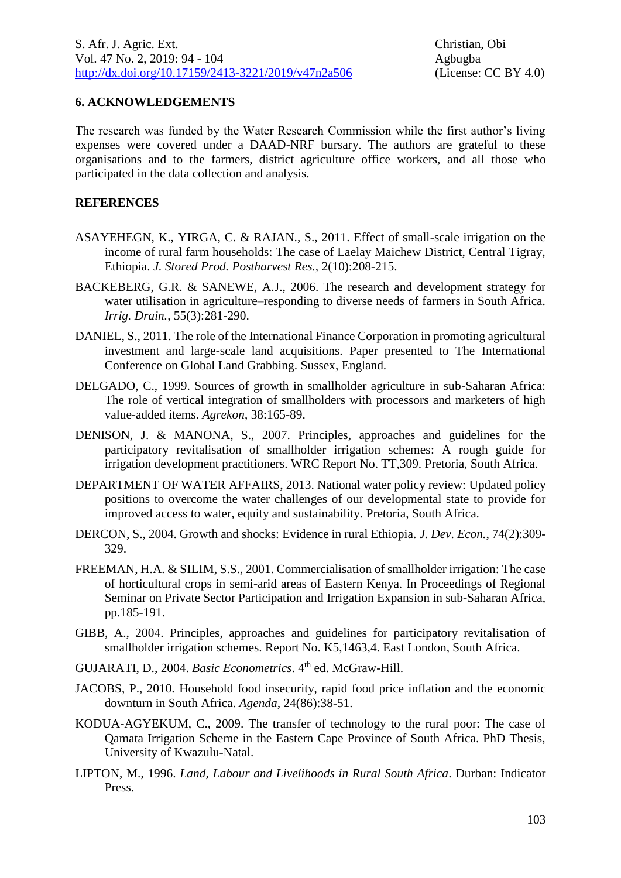### **6. ACKNOWLEDGEMENTS**

The research was funded by the Water Research Commission while the first author's living expenses were covered under a DAAD-NRF bursary. The authors are grateful to these organisations and to the farmers, district agriculture office workers, and all those who participated in the data collection and analysis.

#### **REFERENCES**

- ASAYEHEGN, K., YIRGA, C. & RAJAN., S., 2011. Effect of small-scale irrigation on the income of rural farm households: The case of Laelay Maichew District, Central Tigray, Ethiopia. *J. Stored Prod. Postharvest Res.,* 2(10):208-215.
- BACKEBERG, G.R. & SANEWE, A.J., 2006. The research and development strategy for water utilisation in agriculture–responding to diverse needs of farmers in South Africa. *Irrig. Drain.*, 55(3):281-290.
- DANIEL, S., 2011. The role of the International Finance Corporation in promoting agricultural investment and large-scale land acquisitions. Paper presented to The International Conference on Global Land Grabbing. Sussex, England.
- DELGADO, C., 1999. Sources of growth in smallholder agriculture in sub-Saharan Africa: The role of vertical integration of smallholders with processors and marketers of high value-added items. *Agrekon*, 38:165-89.
- DENISON, J. & MANONA, S., 2007. Principles, approaches and guidelines for the participatory revitalisation of smallholder irrigation schemes: A rough guide for irrigation development practitioners. WRC Report No. TT,309. Pretoria, South Africa.
- DEPARTMENT OF WATER AFFAIRS, 2013. National water policy review: Updated policy positions to overcome the water challenges of our developmental state to provide for improved access to water, equity and sustainability. Pretoria, South Africa.
- DERCON, S., 2004. Growth and shocks: Evidence in rural Ethiopia. *J. Dev. Econ.*, 74(2):309- 329.
- FREEMAN, H.A. & SILIM, S.S., 2001. Commercialisation of smallholder irrigation: The case of horticultural crops in semi-arid areas of Eastern Kenya. In Proceedings of Regional Seminar on Private Sector Participation and Irrigation Expansion in sub-Saharan Africa, pp.185-191.
- GIBB, A., 2004. Principles, approaches and guidelines for participatory revitalisation of smallholder irrigation schemes. Report No. K5,1463,4. East London, South Africa.
- GUJARATI, D., 2004. *Basic Econometrics*. 4th ed. McGraw-Hill.
- JACOBS, P., 2010. Household food insecurity, rapid food price inflation and the economic downturn in South Africa. *Agenda*, 24(86):38-51.
- KODUA-AGYEKUM, C., 2009. The transfer of technology to the rural poor: The case of Qamata Irrigation Scheme in the Eastern Cape Province of South Africa. PhD Thesis, University of Kwazulu-Natal.
- LIPTON, M., 1996. *Land, Labour and Livelihoods in Rural South Africa*. Durban: Indicator Press.